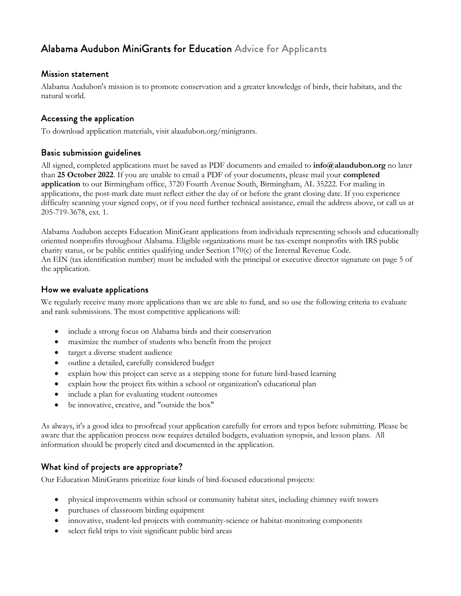# Alabama Audubon MiniGrants for Education Advice for Applicants

#### Mission statement

Alabama Audubon's mission is to promote conservation and a greater knowledge of birds, their habitats, and the natural world.

#### Accessing the application

To download application materials, visit alaudubon.org/minigrants.

#### Basic submission guidelines

All signed, completed applications must be saved as PDF documents and emailed to **info@alaudubon.org** no later than **25 October 2022**. If you are unable to email a PDF of your documents, please mail your **completed application** to our Birmingham office, 3720 Fourth Avenue South, Birmingham, AL 35222. For mailing in applications, the post-mark date must reflect either the day of or before the grant closing date. If you experience difficulty scanning your signed copy, or if you need further technical assistance, email the address above, or call us at 205-719-3678, ext. 1.

Alabama Audubon accepts Education MiniGrant applications from individuals representing schools and educationally oriented nonprofits throughout Alabama. Eligible organizations must be tax-exempt nonprofits with IRS public charity status, or be public entities qualifying under Section 170(c) of the Internal Revenue Code. An EIN (tax identification number) must be included with the principal or executive director signature on page 5 of the application.

#### How we evaluate applications

We regularly receive many more applications than we are able to fund, and so use the following criteria to evaluate and rank submissions. The most competitive applications will:

- include a strong focus on Alabama birds and their conservation
- maximize the number of students who benefit from the project
- target a diverse student audience
- outline a detailed, carefully considered budget
- explain how this project can serve as a stepping stone for future bird-based learning
- explain how the project fits within a school or organization's educational plan
- include a plan for evaluating student outcomes
- be innovative, creative, and "outside the box"

As always, it's a good idea to proofread your application carefully for errors and typos before submitting. Please be aware that the application process now requires detailed budgets, evaluation synopsis, and lesson plans. All information should be properly cited and documented in the application.

#### What kind of projects are appropriate?

Our Education MiniGrants prioritize four kinds of bird-focused educational projects:

- physical improvements within school or community habitat sites, including chimney swift towers
- purchases of classroom birding equipment
- innovative, student-led projects with community-science or habitat-monitoring components
- select field trips to visit significant public bird areas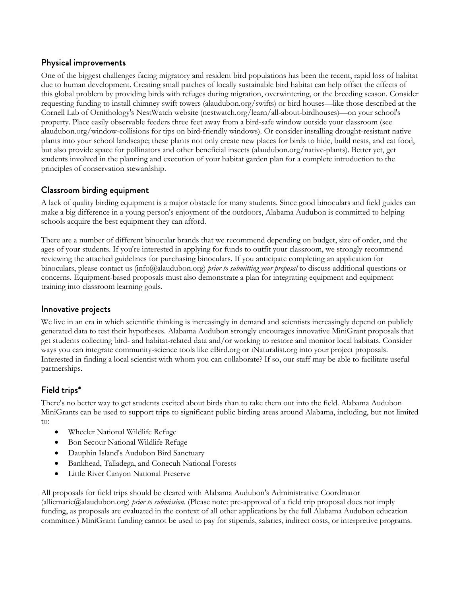## Physical improvements

One of the biggest challenges facing migratory and resident bird populations has been the recent, rapid loss of habitat due to human development. Creating small patches of locally sustainable bird habitat can help offset the effects of this global problem by providing birds with refuges during migration, overwintering, or the breeding season. Consider requesting funding to install chimney swift towers (alaudubon.org/swifts) or bird houses—like those described at the Cornell Lab of Ornithology's NestWatch website (nestwatch.org/learn/all-about-birdhouses)—on your school's property. Place easily observable feeders three feet away from a bird-safe window outside your classroom (see alaudubon.org/window-collisions for tips on bird-friendly windows). Or consider installing drought-resistant native plants into your school landscape; these plants not only create new places for birds to hide, build nests, and eat food, but also provide space for pollinators and other beneficial insects (alaudubon.org/native-plants). Better yet, get students involved in the planning and execution of your habitat garden plan for a complete introduction to the principles of conservation stewardship.

## Classroom birding equipment

A lack of quality birding equipment is a major obstacle for many students. Since good binoculars and field guides can make a big difference in a young person's enjoyment of the outdoors, Alabama Audubon is committed to helping schools acquire the best equipment they can afford.

There are a number of different binocular brands that we recommend depending on budget, size of order, and the ages of your students. If you're interested in applying for funds to outfit your classroom, we strongly recommend reviewing the attached guidelines for purchasing binoculars. If you anticipate completing an application for binoculars, please contact us (info@alaudubon.org) *prior to submitting your proposal* to discuss additional questions or concerns. Equipment-based proposals must also demonstrate a plan for integrating equipment and equipment training into classroom learning goals.

#### Innovative projects

We live in an era in which scientific thinking is increasingly in demand and scientists increasingly depend on publicly generated data to test their hypotheses. Alabama Audubon strongly encourages innovative MiniGrant proposals that get students collecting bird- and habitat-related data and/or working to restore and monitor local habitats. Consider ways you can integrate community-science tools like eBird.org or iNaturalist.org into your project proposals. Interested in finding a local scientist with whom you can collaborate? If so, our staff may be able to facilitate useful partnerships.

## Field trips\*

There's no better way to get students excited about birds than to take them out into the field. Alabama Audubon MiniGrants can be used to support trips to significant public birding areas around Alabama, including, but not limited to:

- Wheeler National Wildlife Refuge
- Bon Secour National Wildlife Refuge
- Dauphin Island's Audubon Bird Sanctuary
- Bankhead, Talladega, and Conecuh National Forests
- Little River Canyon National Preserve

All proposals for field trips should be cleared with Alabama Audubon's Administrative Coordinator (alliemarie@alaudubon.org) *prior to submission*. (Please note: pre-approval of a field trip proposal does not imply funding, as proposals are evaluated in the context of all other applications by the full Alabama Audubon education committee.) MiniGrant funding cannot be used to pay for stipends, salaries, indirect costs, or interpretive programs.